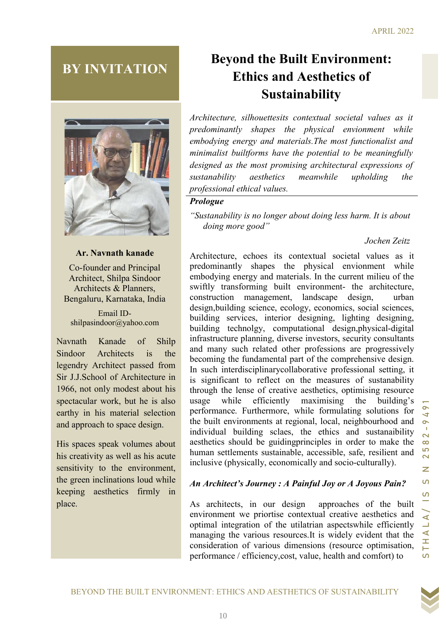# BY INVITATION



## Ar. Navnath kanade

Co-founder and Principal Architect, Shilpa Sindoor Architects & Planners, Bengaluru, Karnataka, India

Email IDshilpasindoor@yahoo.com

Navnath Kanade of Shilp Sindoor Architects is the legendry Architect passed from Sir J.J.School of Architecture in 1966, not only modest about his spectacular work, but he is also earthy in his material selection and approach to space design.

His spaces speak volumes about his creativity as well as his acute sensitivity to the environment, the green inclinations loud while keeping aesthetics firmly in place.

# Beyond the Built Environment: Ethics and Aesthetics of Sustainability

Architecture, silhouettesits contextual societal values as it predominantly shapes the physical envionment while embodying energy and materials.The most functionalist and minimalist builtforms have the potential to be meaningfully designed as the most promising architectural expressions of sustanability aesthetics meanwhile upholding the professional ethical values.

#### Prologue

"Sustanability is no longer about doing less harm. It is about doing more good"

## Jochen Zeitz

"Statenability is no longer about doing lass harm. It is about<br>
Ar. Navnath kanade<br>
Archivestre, eclose is contentual social values as it<br>
Co-founder and Principal<br>
prodominantly shapes the physical curvionnent while<br>
Arc Architecture, echoes its contextual societal values as it predominantly shapes the physical envionment while embodying energy and materials. In the current milieu of the swiftly transforming built environment- the architecture, construction management, landscape design, urban design,building science, ecology, economics, social sciences, building services, interior designing, lighting designing, building technolgy, computational design,physical-digital infrastructure planning, diverse investors, security consultants and many such related other professions are progressively becoming the fundamental part of the comprehensive design. In such interdisciplinarycollaborative professional setting, it is significant to reflect on the measures of sustanability through the lense of creative aesthetics, optimising resource usage while efficiently maximising the building's performance. Furthermore, while formulating solutions for the built environments at regional, local, neighbourhood and individual building sclaes, the ethics and sustanaibility aesthetics should be guidingprinciples in order to make the human settlements sustainable, accessible, safe, resilient and inclusive (physically, economically and socio-culturally).

## An Architect's Journey : A Painful Joy or A Joyous Pain?

As architects, in our design approaches of the built environment we priortise contextual creative aesthetics and optimal integration of the utilatrian aspectswhile efficiently managing the various resources.It is widely evident that the consideration of various dimensions (resource optimisation, performance / efficiency,cost, value, health and comfort) to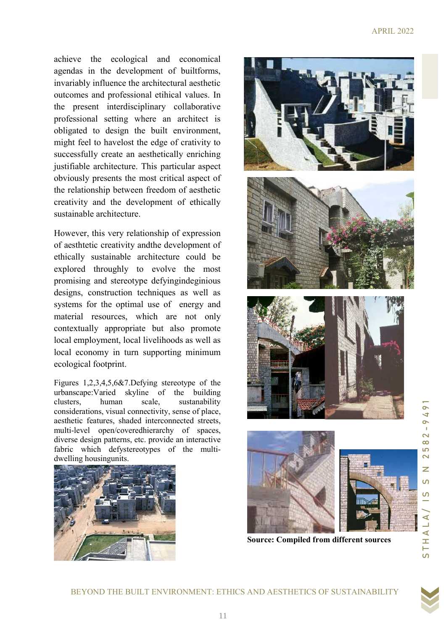achieve the ecological and economical agendas in the development of builtforms, invariably influence the architectural aesthetic outcomes and professional etihical values. In the present interdisciplinary collaborative professional setting where an architect is obligated to design the built environment, might feel to havelost the edge of crativity to successfully create an aesthetically enriching justifiable architecture. This particular aspect obviously presents the most critical aspect of the relationship between freedom of aesthetic creativity and the development of ethically sustainable architecture.

However, this very relationship of expression of aesthtetic creativity andthe development of ethically sustainable architecture could be explored throughly to evolve the most promising and stereotype defyingindeginious designs, construction techniques as well as systems for the optimal use of energy and material resources, which are not only contextually appropriate but also promote local employment, local livelihoods as well as local economy in turn supporting minimum ecological footprint.

Figures 1,2,3,4,5,6&7.Defying stereotype of the urbanscape:Varied skyline of the building clusters, human scale, sustanability considerations, visual connectivity, sense of place, aesthetic features, shaded interconnected streets, multi-level open/coveredhierarchy of spaces, diverse design patterns, etc. provide an interactive fabric which defystereotypes of the multidwelling housingunits.









Source: Compiled from different sources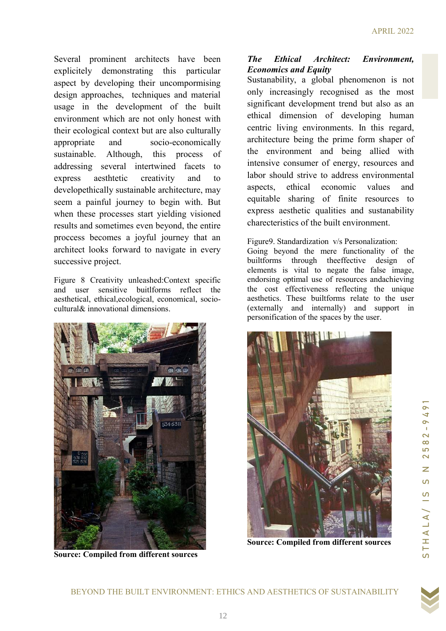Several prominent architects have been explicitely demonstrating this particular aspect by developing their uncompormising design approaches, techniques and material usage in the development of the built environment which are not only honest with their ecological context but are also culturally appropriate and socio-economically sustainable. Although, this process of addressing several intertwined facets to express aesthtetic creativity and to developethically sustainable architecture, may seem a painful journey to begin with. But when these processes start yielding visioned results and sometimes even beyond, the entire proccess becomes a joyful journey that an architect looks forward to navigate in every successive project.

Figure 8 Creativity unleashed:Context specific and user sensitive buitlforms reflect the aesthetical, ethical,ecological, economical, sociocultural& innovational dimensions.



Source: Compiled from different sources

#### The Ethical Architect: Environment, Economics and Equity

Sustanability, a global phenomenon is not only increasingly recognised as the most significant development trend but also as an ethical dimension of developing human centric living environments. In this regard, architecture being the prime form shaper of the environment and being allied with intensive consumer of energy, resources and labor should strive to address environmental aspects, ethical economic values and equitable sharing of finite resources to express aesthetic qualities and sustanability charecteristics of the built environment.

#### Figure9. Standardization v/s Personalization:

Going beyond the mere functionality of the builtforms through theeffective design of elements is vital to negate the false image, endorsing optimal use of resources andachieving the cost effectiveness reflecting the unique aesthetics. These builtforms relate to the user (externally and internally) and support in personification of the spaces by the user.



Source: Compiled from different sources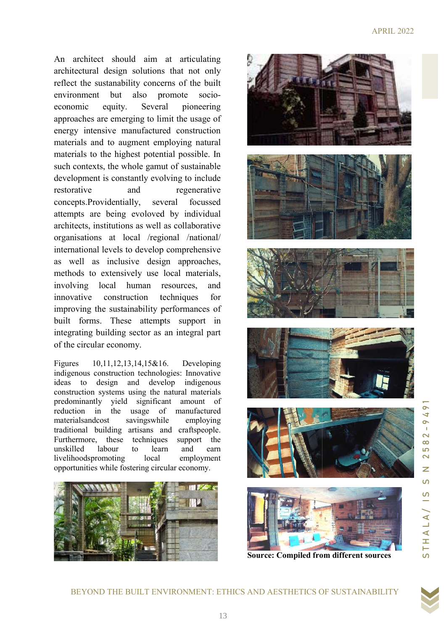An architect should aim at articulating architectural design solutions that not only reflect the sustanability concerns of the built environment but also promote socio economic equity. Several pioneering approaches are emerging to limit the usage of energy intensive manufactured construction energy intensive manufactured co materials and to augment employing natural materials to the highest potential possible. In such contexts, the whole gamut of sustainable development is constantly evolving to include restorative and regenerative concepts.Providentially, several Providentially, several focussed attempts are being evoloved by individual architects, institutions as well as collaborative architects, institutions as well as collaborative<br>organisations at local /regional /national/ international levels to develop comprehensive as well as inclusive design approaches, methods to extensively use local materials,<br>
involving local human resources, and<br>
innovative construction techniques for involving local human resources, and innovative construction techniques improving the sustainability performances of built forms. These attempts support in integrating building sector as an integral part of the circular economy. t only<br>e built<br>socioand to augment employing natural<br>to the highest potential possible. In<br>exts, the whole gamut of sustainable

Figures 10,11,12,13,14,15&16. Developing indigenous construction technologies: Innovative ideas to design and develop construction systems using the natural materials predominantly yield significant amount of reduction in the usage of manufactured materialsandcost savingswhile employing predominantly yield significant amount of<br>reduction in the usage of manufactured<br>materialsandcost savingswhile employing<br>traditional building artisans and craftspeople. Furthermore, these techniques support the unskilled labour to learn and earn unskilled labour to learn livelihoodspromoting local employment livelihoodspromoting local employme<br>opportunities while fostering circular economy. indigenous















Source: Compiled from different sources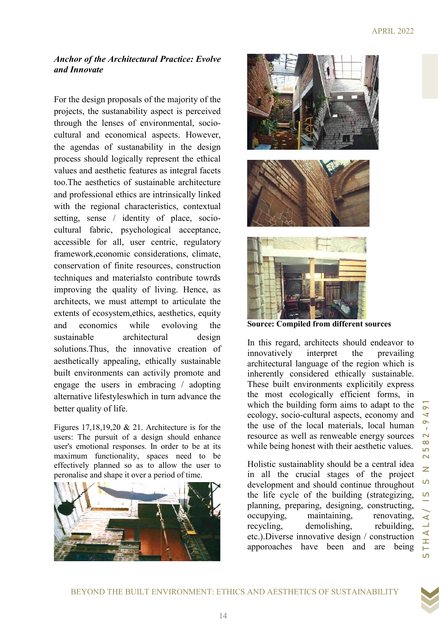#### Anchor of the Architectural Practice: Evolve and Innovate

For the design proposals of the majority of the projects, the sustanability aspect is perceived through the lenses of environmental, socioprojects, the sustanability aspect is perceived through the lenses of environmental, socio cultural and economical aspects. However, cultural and economical aspects. However, the agendas of sustanability in the design process should logically represent the ethical values and aesthetic features as integral facets too.The aesthetics of sustainable architecture and professional ethics are intrinsically linked with the regional characteristics, contextual process should logically represent the ethical<br>values and aesthetic features as integral facets<br>too.The aesthetics of sustainable architecture<br>and professional ethics are intrinsically linked<br>with the regional characterist cultural fabric, psychological acceptance, accessible for all, user centric, regulatory framework, economic considerations, climate,<br>conservation of finite resources, construction conservation of finite resources, techniques and materialsto contribute towrds techniques and materialsto contribute towrds<br>improving the quality of living. Hence, as architects, we must attempt to articulate the extents of ecosystem, ethics, aesthetics, equity and economics while evoloving the sustainable architectural architectural design solutions. Thus, the innovative creation of aesthetically appealing, ethically sustainable built environments can activily promote and engage the users in embracing / adopting alternative lifestyleswhich in turn advanc better quality of life. can activily promote and<br>in embracing / adopting<br>which in turn advance the

Figures  $17,18,19,20 \& 21$ . Architecture is for the users: The pursuit of a design should enhance user's emotional responses. In order to be at its maximum functionality, spaces need to be effectively planned so as to allow the user to peronalise and shape it over a period of time. 17,18,19,20 & 21. Architecture is for the<br>he pursuit of a design should enhance<br>notional responses. In order to be at its<br>m functionality, spaces need to be





hile evoloving the **Source: Compiled from different sources**<br>
intectural design<br>
movative creation of innovatively interpret the preventively sustainable<br>
in activily promote and inherently considered ethically sustain<br>
em In this regard, architects should endeavor to innovatively interpret the prevailing architectural language of the region which is inherently considered ethically sustainable. These built environments explicitily express the most ecologically efficient forms, in which the building form aims to adapt to the ecology, socio-cultural aspects, economy and the use of the local materials, local human resource as well as re while being honest with their aesthetic values. Example 1<br>
Solution of the solution of the solution of the solution of the solution of the solution of the solution of the solution of the moving and accelerate solution of the most ecologically efficient forms, in which cultural aspects, economy and<br>local materials, local human<br>ll as renweable energy sources

Holistic sustainablity should be a central idea in all the crucial stages of the project development and should continue throughout the life cycle of the building building (strategizing, planning, preparing, designing, constructing, occupying, maintaining, renovating, recycling, demolishing, rebuilding, etc.). Diverse innovative design / construction apporoaches have been and are being